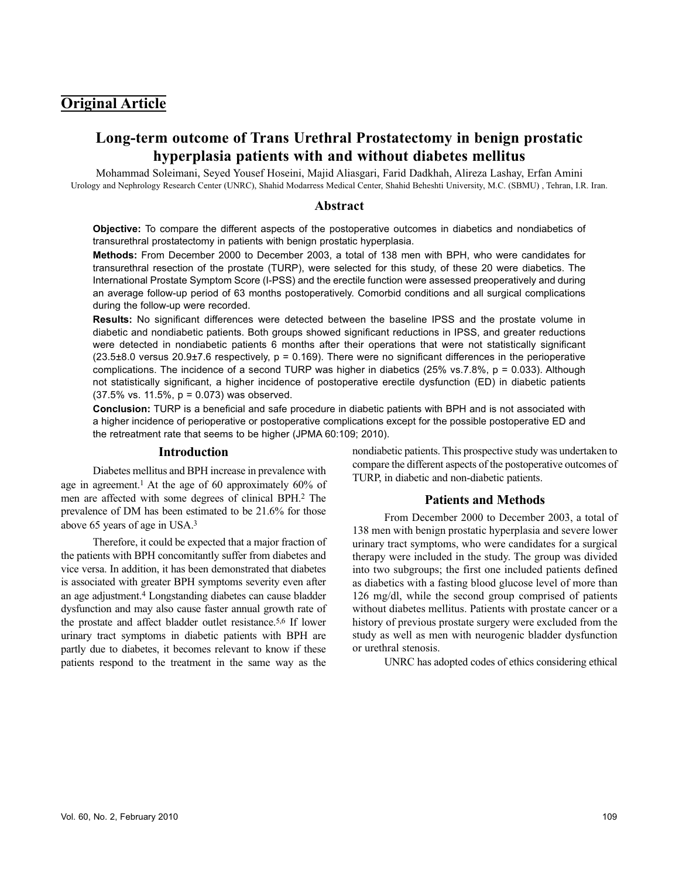## **Original Article**

# **Long-term outcome of Trans Urethral Prostatectomy in benign prostatic hyperplasia patients with and without diabetes mellitus**

Mohammad Soleimani, Seyed Yousef Hoseini, Majid Aliasgari, Farid Dadkhah, Alireza Lashay, Erfan Amini Urology and Nephrology Research Center (UNRC), Shahid Modarress Medical Center, Shahid Beheshti University, M.C. (SBMU) , Tehran, I.R. Iran.

### **Abstract**

**Objective:** To compare the different aspects of the postoperative outcomes in diabetics and nondiabetics of transurethral prostatectomy in patients with benign prostatic hyperplasia.

**Methods:** From December 2000 to December 2003, a total of 138 men with BPH, who were candidates for transurethral resection of the prostate (TURP), were selected for this study, of these 20 were diabetics. The International Prostate Symptom Score (I-PSS) and the erectile function were assessed preoperatively and during an average follow-up period of 63 months postoperatively. Comorbid conditions and all surgical complications during the follow-up were recorded.

**Results:** No significant differences were detected between the baseline IPSS and the prostate volume in diabetic and nondiabetic patients. Both groups showed significant reductions in IPSS, and greater reductions were detected in nondiabetic patients 6 months after their operations that were not statistically significant  $(23.5±8.0$  versus 20.9±7.6 respectively,  $p = 0.169$ ). There were no significant differences in the perioperative complications. The incidence of a second TURP was higher in diabetics (25% vs.7.8%, p = 0.033). Although not statistically significant, a higher incidence of postoperative erectile dysfunction (ED) in diabetic patients (37.5% vs. 11.5%, p = 0.073) was observed.

**Conclusion:** TURP is a beneficial and safe procedure in diabetic patients with BPH and is not associated with a higher incidence of perioperative or postoperative complications except for the possible postoperative ED and the retreatment rate that seems to be higher (JPMA 60:109; 2010).

### **Introduction**

Diabetes mellitus and BPH increase in prevalence with age in agreement.<sup>1</sup> At the age of 60 approximately 60% of men are affected with some degrees of clinical BPH.<sup>2</sup> The prevalence of DM has been estimated to be 21.6% for those above 65 years of age in USA.<sup>3</sup>

Therefore, it could be expected that a major fraction of the patients with BPH concomitantly suffer from diabetes and vice versa. In addition, it has been demonstrated that diabetes is associated with greater BPH symptoms severity even after an age adjustment.<sup>4</sup> Longstanding diabetes can cause bladder dysfunction and may also cause faster annual growth rate of the prostate and affect bladder outlet resistance.5,6 If lower urinary tract symptoms in diabetic patients with BPH are partly due to diabetes, it becomes relevant to know if these patients respond to the treatment in the same way as the nondiabetic patients. This prospective study was undertaken to compare the different aspects of the postoperative outcomes of TURP, in diabetic and non-diabetic patients.

## **Patients and Methods**

From December 2000 to December 2003, a total of 138 men with benign prostatic hyperplasia and severe lower urinary tract symptoms, who were candidates for a surgical therapy were included in the study. The group was divided into two subgroups; the first one included patients defined as diabetics with a fasting blood glucose level of more than 126 mg/dl, while the second group comprised of patients without diabetes mellitus. Patients with prostate cancer or a history of previous prostate surgery were excluded from the study as well as men with neurogenic bladder dysfunction or urethral stenosis.

UNRC has adopted codes of ethics considering ethical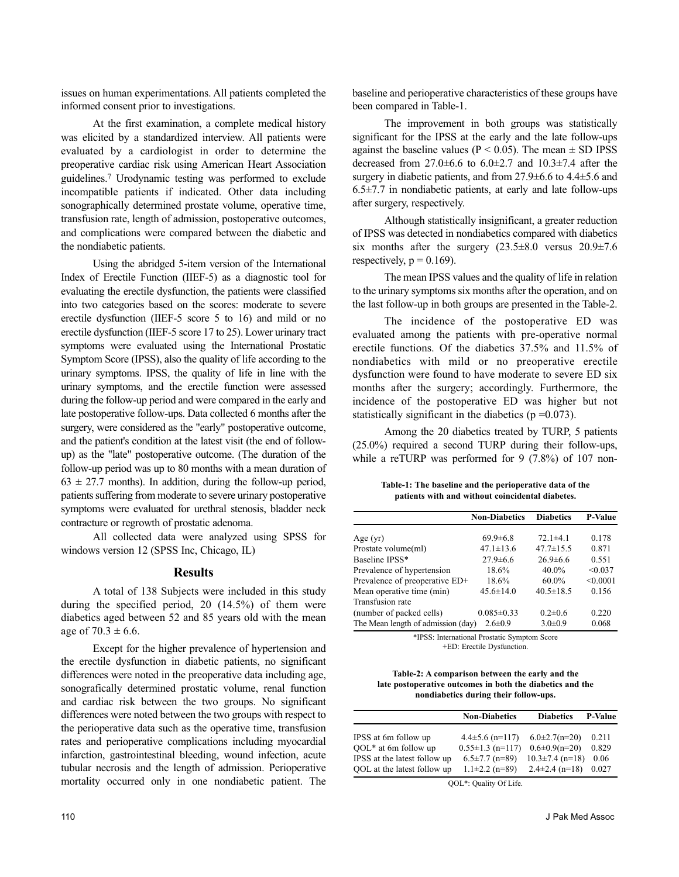issues on human experimentations. All patients completed the informed consent prior to investigations.

At the first examination, a complete medical history was elicited by a standardized interview. All patients were evaluated by a cardiologist in order to determine the preoperative cardiac risk using American Heart Association guidelines.<sup>7</sup> Urodynamic testing was performed to exclude incompatible patients if indicated. Other data including sonographically determined prostate volume, operative time, transfusion rate, length of admission, postoperative outcomes, and complications were compared between the diabetic and the nondiabetic patients.

Using the abridged 5-item version of the International Index of Erectile Function (IIEF-5) as a diagnostic tool for evaluating the erectile dysfunction, the patients were classified into two categories based on the scores: moderate to severe erectile dysfunction (IIEF-5 score 5 to 16) and mild or no erectile dysfunction (IIEF-5 score 17 to 25). Lower urinary tract symptoms were evaluated using the International Prostatic Symptom Score (IPSS), also the quality of life according to the urinary symptoms. IPSS, the quality of life in line with the urinary symptoms, and the erectile function were assessed during the follow-up period and were compared in the early and late postoperative follow-ups. Data collected 6 months after the surgery, were considered as the "early" postoperative outcome, and the patient's condition at the latest visit (the end of followup) as the "late" postoperative outcome. (The duration of the follow-up period was up to 80 months with a mean duration of  $63 \pm 27.7$  months). In addition, during the follow-up period, patients suffering from moderate to severe urinary postoperative symptoms were evaluated for urethral stenosis, bladder neck contracture or regrowth of prostatic adenoma.

All collected data were analyzed using SPSS for windows version 12 (SPSS Inc, Chicago, IL)

### **Results**

A total of 138 Subjects were included in this study during the specified period,  $20(14.5%)$  of them were diabetics aged between 52 and 85 years old with the mean age of  $70.3 \pm 6.6$ .

Except for the higher prevalence of hypertension and the erectile dysfunction in diabetic patients, no significant differences were noted in the preoperative data including age, sonografically determined prostatic volume, renal function and cardiac risk between the two groups. No significant differences were noted between the two groups with respect to the perioperative data such as the operative time, transfusion rates and perioperative complications including myocardial infarction, gastrointestinal bleeding, wound infection, acute tubular necrosis and the length of admission. Perioperative mortality occurred only in one nondiabetic patient. The

baseline and perioperative characteristics of these groups have been compared in Table-1.

The improvement in both groups was statistically significant for the IPSS at the early and the late follow-ups against the baseline values ( $P < 0.05$ ). The mean  $\pm$  SD IPSS decreased from  $27.0 \pm 6.6$  to  $6.0 \pm 2.7$  and  $10.3 \pm 7.4$  after the surgery in diabetic patients, and from 27.9±6.6 to 4.4±5.6 and  $6.5\pm7.7$  in nondiabetic patients, at early and late follow-ups after surgery, respectively.

Although statistically insignificant, a greater reduction of IPSS was detected in nondiabetics compared with diabetics six months after the surgery  $(23.5\pm8.0$  versus  $20.9\pm7.6$ respectively,  $p = 0.169$ ).

The mean IPSS values and the quality of life in relation to the urinary symptoms six months after the operation, and on the last follow-up in both groups are presented in the Table-2.

The incidence of the postoperative ED was evaluated among the patients with pre-operative normal erectile functions. Of the diabetics 37.5% and 11.5% of nondiabetics with mild or no preoperative erectile dysfunction were found to have moderate to severe ED six months after the surgery; accordingly. Furthermore, the incidence of the postoperative ED was higher but not statistically significant in the diabetics ( $p = 0.073$ ).

Among the 20 diabetics treated by TURP, 5 patients (25.0%) required a second TURP during their follow-ups, while a reTURP was performed for 9 (7.8%) of 107 non-

**Table-1: The baseline and the perioperative data of the patients with and without coincidental diabetes.**

|                                    | <b>Non-Diabetics</b> | <b>Diabetics</b> | <b>P-Value</b> |
|------------------------------------|----------------------|------------------|----------------|
|                                    |                      |                  |                |
| Age $(yr)$                         | $69.9 \pm 6.8$       | $72.1 \pm 4.1$   | 0.178          |
| Prostate volume(ml)                | $47.1 \pm 13.6$      | $47.7 \pm 15.5$  | 0.871          |
| Baseline IPSS*                     | $27.9 \pm 6.6$       | $26.9\pm 6.6$    | 0.551          |
| Prevalence of hypertension         | 18.6%                | $40.0\%$         | < 0.037        |
| Prevalence of preoperative ED+     | 18.6%                | $60.0\%$         | < 0.0001       |
| Mean operative time (min)          | $45.6 \pm 14.0$      | $40.5 \pm 18.5$  | 0.156          |
| Transfusion rate                   |                      |                  |                |
| (number of packed cells)           | $0.085 \pm 0.33$     | $0.2 \pm 0.6$    | 0.220          |
| The Mean length of admission (day) | $2.6 \pm 0.9$        | $3.0 \pm 0.9$    | 0.068          |

\*IPSS: International Prostatic Symptom Score +ED: Erectile Dysfunction.

#### **Table-2: A comparison between the early and the late postoperative outcomes in both the diabetics and the nondiabetics during their follow-ups.**

|                              | <b>Non-Diabetics</b>   | <b>Diabetics</b>      | P-Value |  |
|------------------------------|------------------------|-----------------------|---------|--|
|                              |                        |                       |         |  |
| IPSS at 6m follow up         | $4.4\pm5.6$ (n=117)    | $6.0\pm2.7(n=20)$     | 0.211   |  |
| $OOL*$ at 6m follow up       | $0.55 \pm 1.3$ (n=117) | $0.6 \pm 0.9(n=20)$   | 0.829   |  |
| IPSS at the latest follow up | $6.5 \pm 7.7$ (n=89)   | $10.3 \pm 7.4$ (n=18) | 0.06    |  |
| OOL at the latest follow up  | $1.1\pm2.2$ (n=89)     | $2.4\pm2.4$ (n=18)    | 0.027   |  |
|                              |                        |                       |         |  |

QOL\*: Quality Of Life.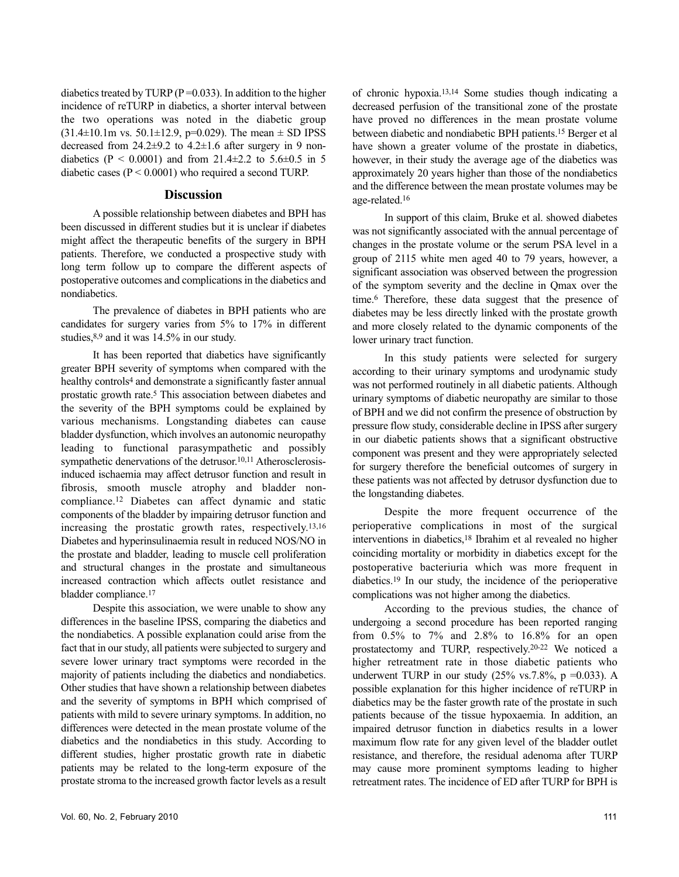diabetics treated by TURP ( $P = 0.033$ ). In addition to the higher incidence of reTURP in diabetics, a shorter interval between the two operations was noted in the diabetic group  $(31.4\pm10.1\text{m} \text{ vs. } 50.1\pm12.9, \text{ p=0.029}).$  The mean  $\pm$  SD IPSS decreased from 24.2±9.2 to 4.2±1.6 after surgery in 9 nondiabetics (P < 0.0001) and from 21.4 $\pm$ 2.2 to 5.6 $\pm$ 0.5 in 5 diabetic cases  $(P < 0.0001)$  who required a second TURP.

### **Discussion**

A possible relationship between diabetes and BPH has been discussed in different studies but it is unclear if diabetes might affect the therapeutic benefits of the surgery in BPH patients. Therefore, we conducted a prospective study with long term follow up to compare the different aspects of postoperative outcomes and complications in the diabetics and nondiabetics.

The prevalence of diabetes in BPH patients who are candidates for surgery varies from 5% to 17% in different studies,  $8,9$  and it was 14.5% in our study.

It has been reported that diabetics have significantly greater BPH severity of symptoms when compared with the healthy controls<sup>4</sup> and demonstrate a significantly faster annual prostatic growth rate.<sup>5</sup> This association between diabetes and the severity of the BPH symptoms could be explained by various mechanisms. Longstanding diabetes can cause bladder dysfunction, which involves an autonomic neuropathy leading to functional parasympathetic and possibly sympathetic denervations of the detrusor.<sup>10,11</sup> Atherosclerosisinduced ischaemia may affect detrusor function and result in fibrosis, smooth muscle atrophy and bladder noncompliance.<sup>12</sup> Diabetes can affect dynamic and static components of the bladder by impairing detrusor function and increasing the prostatic growth rates, respectively. 13,16 Diabetes and hyperinsulinaemia result in reduced NOS/NO in the prostate and bladder, leading to muscle cell proliferation and structural changes in the prostate and simultaneous increased contraction which affects outlet resistance and bladder compliance.<sup>17</sup>

Despite this association, we were unable to show any differences in the baseline IPSS, comparing the diabetics and the nondiabetics. A possible explanation could arise from the fact that in our study, all patients were subjected to surgery and severe lower urinary tract symptoms were recorded in the majority of patients including the diabetics and nondiabetics. Other studies that have shown a relationship between diabetes and the severity of symptoms in BPH which comprised of patients with mild to severe urinary symptoms. In addition, no differences were detected in the mean prostate volume of the diabetics and the nondiabetics in this study. According to different studies, higher prostatic growth rate in diabetic patients may be related to the long-term exposure of the prostate stroma to the increased growth factor levels as a result of chronic hypoxia.13,14 Some studies though indicating a decreased perfusion of the transitional zone of the prostate have proved no differences in the mean prostate volume between diabetic and nondiabetic BPH patients.<sup>15</sup> Berger et al have shown a greater volume of the prostate in diabetics, however, in their study the average age of the diabetics was approximately 20 years higher than those of the nondiabetics and the difference between the mean prostate volumes may be age-related.<sup>16</sup>

In support of this claim, Bruke et al. showed diabetes was not significantly associated with the annual percentage of changes in the prostate volume or the serum PSA level in a group of 2115 white men aged 40 to 79 years, however, a significant association was observed between the progression of the symptom severity and the decline in Qmax over the time.<sup>6</sup> Therefore, these data suggest that the presence of diabetes may be less directly linked with the prostate growth and more closely related to the dynamic components of the lower urinary tract function.

In this study patients were selected for surgery according to their urinary symptoms and urodynamic study was not performed routinely in all diabetic patients. Although urinary symptoms of diabetic neuropathy are similar to those of BPH and we did not confirm the presence of obstruction by pressure flow study, considerable decline in IPSS after surgery in our diabetic patients shows that a significant obstructive component was present and they were appropriately selected for surgery therefore the beneficial outcomes of surgery in these patients was not affected by detrusor dysfunction due to the longstanding diabetes.

Despite the more frequent occurrence of the perioperative complications in most of the surgical interventions in diabetics,<sup>18</sup> Ibrahim et al revealed no higher coinciding mortality or morbidity in diabetics except for the postoperative bacteriuria which was more frequent in diabetics.<sup>19</sup> In our study, the incidence of the perioperative complications was not higher among the diabetics.

According to the previous studies, the chance of undergoing a second procedure has been reported ranging from  $0.5\%$  to  $7\%$  and  $2.8\%$  to  $16.8\%$  for an open prostatectomy and TURP, respectively.20-22 We noticed a higher retreatment rate in those diabetic patients who underwent TURP in our study  $(25\% \text{ vs. } 7.8\%, \text{ p} = 0.033)$ . A possible explanation for this higher incidence of reTURP in diabetics may be the faster growth rate of the prostate in such patients because of the tissue hypoxaemia. In addition, an impaired detrusor function in diabetics results in a lower maximum flow rate for any given level of the bladder outlet resistance, and therefore, the residual adenoma after TURP may cause more prominent symptoms leading to higher retreatment rates. The incidence of ED after TURP for BPH is